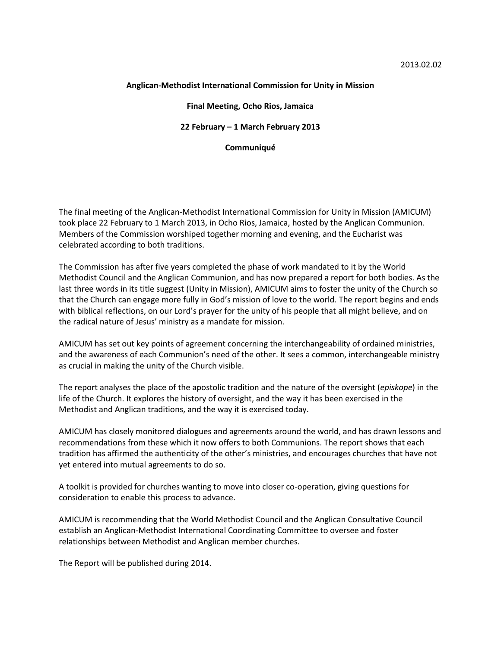### **Anglican-Methodist International Commission for Unity in Mission**

#### **Final Meeting, Ocho Rios, Jamaica**

**22 February – 1 March February 2013**

## **Communiqué**

The final meeting of the Anglican-Methodist International Commission for Unity in Mission (AMICUM) took place 22 February to 1 March 2013, in Ocho Rios, Jamaica, hosted by the Anglican Communion. Members of the Commission worshiped together morning and evening, and the Eucharist was celebrated according to both traditions.

The Commission has after five years completed the phase of work mandated to it by the World Methodist Council and the Anglican Communion, and has now prepared a report for both bodies. As the last three words in its title suggest (Unity in Mission), AMICUM aims to foster the unity of the Church so that the Church can engage more fully in God's mission of love to the world. The report begins and ends with biblical reflections, on our Lord's prayer for the unity of his people that all might believe, and on the radical nature of Jesus' ministry as a mandate for mission.

AMICUM has set out key points of agreement concerning the interchangeability of ordained ministries, and the awareness of each Communion's need of the other. It sees a common, interchangeable ministry as crucial in making the unity of the Church visible.

The report analyses the place of the apostolic tradition and the nature of the oversight (*episkope*) in the life of the Church. It explores the history of oversight, and the way it has been exercised in the Methodist and Anglican traditions, and the way it is exercised today.

AMICUM has closely monitored dialogues and agreements around the world, and has drawn lessons and recommendations from these which it now offers to both Communions. The report shows that each tradition has affirmed the authenticity of the other's ministries, and encourages churches that have not yet entered into mutual agreements to do so.

A toolkit is provided for churches wanting to move into closer co-operation, giving questions for consideration to enable this process to advance.

AMICUM is recommending that the World Methodist Council and the Anglican Consultative Council establish an Anglican-Methodist International Coordinating Committee to oversee and foster relationships between Methodist and Anglican member churches.

The Report will be published during 2014.